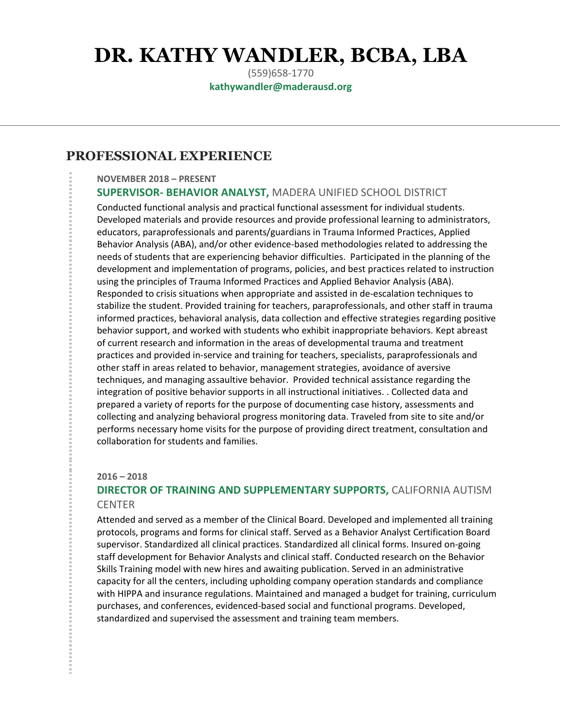# **DR. KATHY WANDLER, BCBA, LBA**

(559)658-1770 **kathywandler@maderausd.org**

## **PROFESSIONAL EXPERIENCE**

#### **NOVEMBER 2018 – PRESENT SUPERVISOR- BEHAVIOR ANALYST,** MADERA UNIFIED SCHOOL DISTRICT

Conducted functional analysis and practical functional assessment for individual students. Developed materials and provide resources and provide professional learning to administrators, educators, paraprofessionals and parents/guardians in Trauma Informed Practices, Applied Behavior Analysis (ABA), and/or other evidence-based methodologies related to addressing the needs of students that are experiencing behavior difficulties. Participated in the planning of the development and implementation of programs, policies, and best practices related to instruction using the principles of Trauma Informed Practices and Applied Behavior Analysis (ABA). Responded to crisis situations when appropriate and assisted in de-escalation techniques to stabilize the student. Provided training for teachers, paraprofessionals, and other staff in trauma informed practices, behavioral analysis, data collection and effective strategies regarding positive behavior support, and worked with students who exhibit inappropriate behaviors. Kept abreast of current research and information in the areas of developmental trauma and treatment practices and provided in-service and training for teachers, specialists, paraprofessionals and other staff in areas related to behavior, management strategies, avoidance of aversive techniques, and managing assaultive behavior. Provided technical assistance regarding the integration of positive behavior supports in all instructional initiatives. . Collected data and prepared a variety of reports for the purpose of documenting case history, assessments and collecting and analyzing behavioral progress monitoring data. Traveled from site to site and/or performs necessary home visits for the purpose of providing direct treatment, consultation and collaboration for students and families.

#### **2016 – 2018**

### **DIRECTOR OF TRAINING AND SUPPLEMENTARY SUPPORTS,** CALIFORNIA AUTISM **CENTER**

Attended and served as a member of the Clinical Board. Developed and implemented all training protocols, programs and forms for clinical staff. Served as a Behavior Analyst Certification Board supervisor. Standardized all clinical practices. Standardized all clinical forms. Insured on-going staff development for Behavior Analysts and clinical staff. Conducted research on the Behavior Skills Training model with new hires and awaiting publication. Served in an administrative capacity for all the centers, including upholding company operation standards and compliance with HIPPA and insurance regulations. Maintained and managed a budget for training, curriculum purchases, and conferences, evidenced-based social and functional programs. Developed, standardized and supervised the assessment and training team members.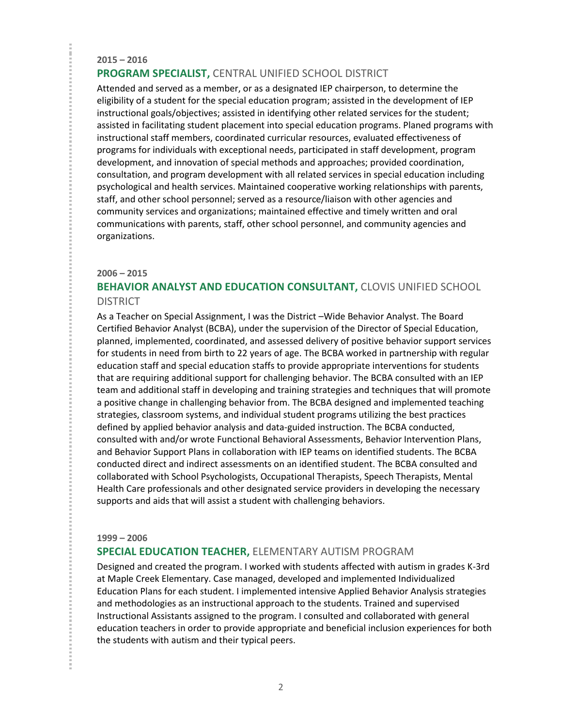#### **2015 – 2016 PROGRAM SPECIALIST,** CENTRAL UNIFIED SCHOOL DISTRICT

Attended and served as a member, or as a designated IEP chairperson, to determine the eligibility of a student for the special education program; assisted in the development of IEP instructional goals/objectives; assisted in identifying other related services for the student; assisted in facilitating student placement into special education programs. Planed programs with instructional staff members, coordinated curricular resources, evaluated effectiveness of programs for individuals with exceptional needs, participated in staff development, program development, and innovation of special methods and approaches; provided coordination, consultation, and program development with all related services in special education including psychological and health services. Maintained cooperative working relationships with parents, staff, and other school personnel; served as a resource/liaison with other agencies and community services and organizations; maintained effective and timely written and oral communications with parents, staff, other school personnel, and community agencies and organizations.

#### **2006 – 2015**

## **BEHAVIOR ANALYST AND EDUCATION CONSULTANT,** CLOVIS UNIFIED SCHOOL **DISTRICT**

As a Teacher on Special Assignment, I was the District –Wide Behavior Analyst. The Board Certified Behavior Analyst (BCBA), under the supervision of the Director of Special Education, planned, implemented, coordinated, and assessed delivery of positive behavior support services for students in need from birth to 22 years of age. The BCBA worked in partnership with regular education staff and special education staffs to provide appropriate interventions for students that are requiring additional support for challenging behavior. The BCBA consulted with an IEP team and additional staff in developing and training strategies and techniques that will promote a positive change in challenging behavior from. The BCBA designed and implemented teaching strategies, classroom systems, and individual student programs utilizing the best practices defined by applied behavior analysis and data-guided instruction. The BCBA conducted, consulted with and/or wrote Functional Behavioral Assessments, Behavior Intervention Plans, and Behavior Support Plans in collaboration with IEP teams on identified students. The BCBA conducted direct and indirect assessments on an identified student. The BCBA consulted and collaborated with School Psychologists, Occupational Therapists, Speech Therapists, Mental Health Care professionals and other designated service providers in developing the necessary supports and aids that will assist a student with challenging behaviors.

#### **1999 – 2006**

#### **SPECIAL EDUCATION TEACHER,** ELEMENTARY AUTISM PROGRAM

Designed and created the program. I worked with students affected with autism in grades K-3rd at Maple Creek Elementary. Case managed, developed and implemented Individualized Education Plans for each student. I implemented intensive Applied Behavior Analysis strategies and methodologies as an instructional approach to the students. Trained and supervised Instructional Assistants assigned to the program. I consulted and collaborated with general education teachers in order to provide appropriate and beneficial inclusion experiences for both the students with autism and their typical peers.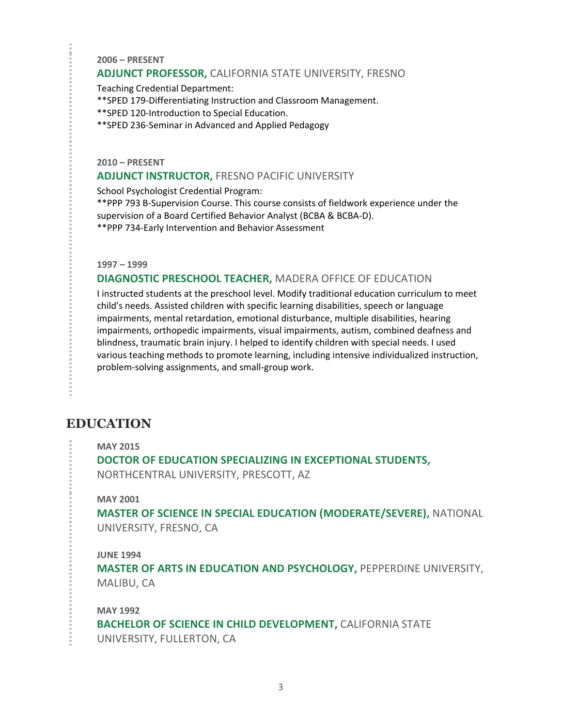**2006 – PRESENT** 

#### **ADJUNCT PROFESSOR,** CALIFORNIA STATE UNIVERSITY, FRESNO

Teaching Credential Department:

\*\*SPED 179-Differentiating Instruction and Classroom Management.

\*\*SPED 120-Introduction to Special Education.

\*\*SPED 236-Seminar in Advanced and Applied Pedagogy

**2010 – PRESENT** 

#### **ADJUNCT INSTRUCTOR,** FRESNO PACIFIC UNIVERSITY

School Psychologist Credential Program:

\*\*PPP 793 B-Supervision Course. This course consists of fieldwork experience under the supervision of a Board Certified Behavior Analyst (BCBA & BCBA-D).

\*\*PPP 734-Early Intervention and Behavior Assessment

**1997 – 1999** 

#### **DIAGNOSTIC PRESCHOOL TEACHER,** MADERA OFFICE OF EDUCATION

I instructed students at the preschool level. Modify traditional education curriculum to meet child's needs. Assisted children with specific learning disabilities, speech or language impairments, mental retardation, emotional disturbance, multiple disabilities, hearing impairments, orthopedic impairments, visual impairments, autism, combined deafness and blindness, traumatic brain injury. I helped to identify children with special needs. I used various teaching methods to promote learning, including intensive individualized instruction, problem-solving assignments, and small-group work.

## **EDUCATION**

**MAY 2015**

**DOCTOR OF EDUCATION SPECIALIZING IN EXCEPTIONAL STUDENTS,**  NORTHCENTRAL UNIVERSITY, PRESCOTT, AZ

#### **MAY 2001**

**MASTER OF SCIENCE IN SPECIAL EDUCATION (MODERATE/SEVERE),** NATIONAL UNIVERSITY, FRESNO, CA

#### **JUNE 1994**

**MASTER OF ARTS IN EDUCATION AND PSYCHOLOGY,** PEPPERDINE UNIVERSITY, MALIBU, CA

**MAY 1992 BACHELOR OF SCIENCE IN CHILD DEVELOPMENT, CALIFORNIA STATE** UNIVERSITY, FULLERTON, CA